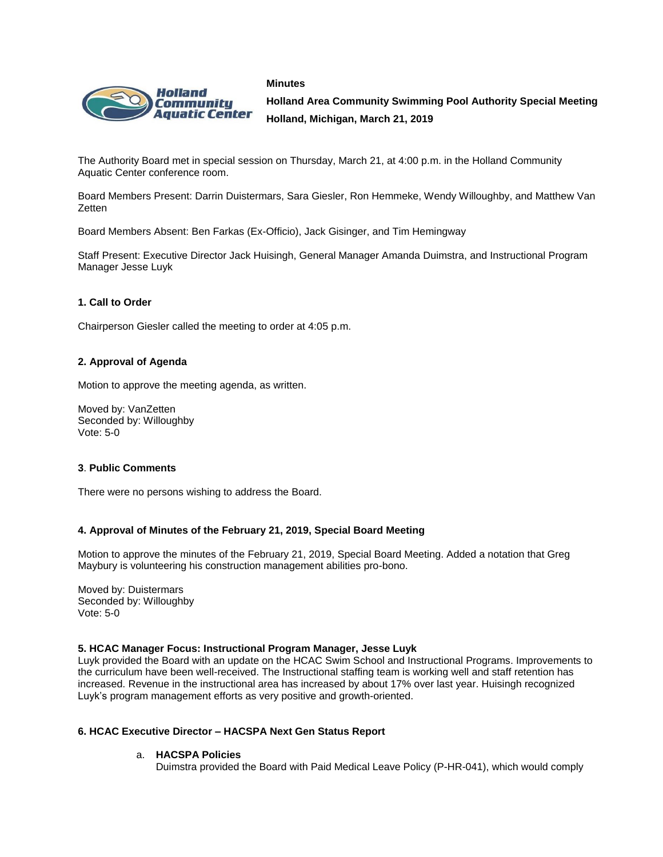



**Holland Area Community Swimming Pool Authority Special Meeting Holland, Michigan, March 21, 2019**

The Authority Board met in special session on Thursday, March 21, at 4:00 p.m. in the Holland Community Aquatic Center conference room.

Board Members Present: Darrin Duistermars, Sara Giesler, Ron Hemmeke, Wendy Willoughby, and Matthew Van **Zetten** 

Board Members Absent: Ben Farkas (Ex-Officio), Jack Gisinger, and Tim Hemingway

Staff Present: Executive Director Jack Huisingh, General Manager Amanda Duimstra, and Instructional Program Manager Jesse Luyk

# **1. Call to Order**

Chairperson Giesler called the meeting to order at 4:05 p.m.

## **2. Approval of Agenda**

Motion to approve the meeting agenda, as written.

Moved by: VanZetten Seconded by: Willoughby Vote: 5-0

### **3**. **Public Comments**

There were no persons wishing to address the Board.

### **4. Approval of Minutes of the February 21, 2019, Special Board Meeting**

Motion to approve the minutes of the February 21, 2019, Special Board Meeting. Added a notation that Greg Maybury is volunteering his construction management abilities pro-bono.

Moved by: Duistermars Seconded by: Willoughby Vote: 5-0

### **5. HCAC Manager Focus: Instructional Program Manager, Jesse Luyk**

Luyk provided the Board with an update on the HCAC Swim School and Instructional Programs. Improvements to the curriculum have been well-received. The Instructional staffing team is working well and staff retention has increased. Revenue in the instructional area has increased by about 17% over last year. Huisingh recognized Luyk's program management efforts as very positive and growth-oriented.

### **6. HCAC Executive Director – HACSPA Next Gen Status Report**

# a. **HACSPA Policies**

Duimstra provided the Board with Paid Medical Leave Policy (P-HR-041), which would comply